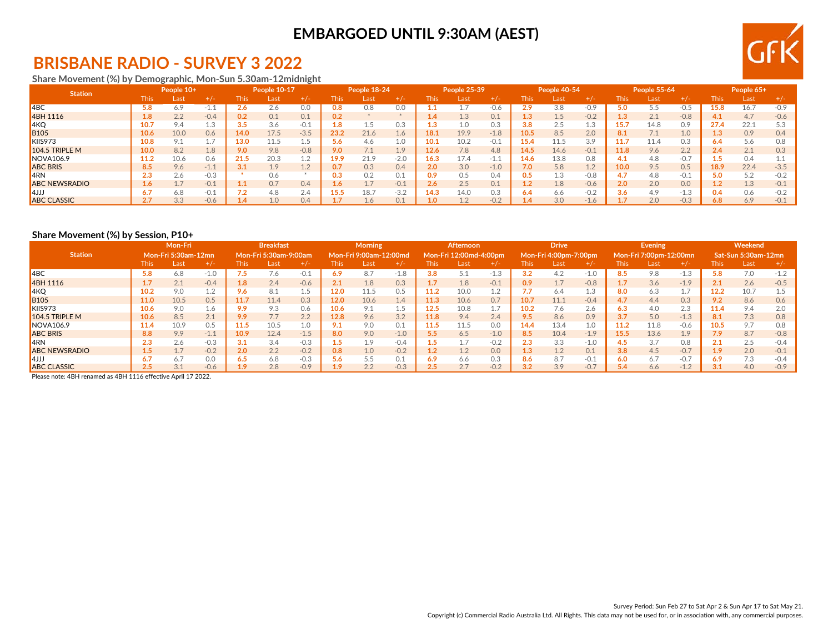## **BRISBANE RADIO - SURVEY 3 2022**

### **Share Movement (%) by Demographic, Mon-Sun 5.30am-12midnight**

| <b>Station</b>       |               | People 10+ |        |             | People 10-17 |                   |       | People 18-24 |               |      | People 25-39 |        |             | People 40-54 |                                     |      | People 55-64 |        |      | People 65+ |        |
|----------------------|---------------|------------|--------|-------------|--------------|-------------------|-------|--------------|---------------|------|--------------|--------|-------------|--------------|-------------------------------------|------|--------------|--------|------|------------|--------|
|                      | <b>This</b>   | Last       | $+/-$  | <b>This</b> | Last         | $+/-$             | This. | Last         | $+/-$         | This | Last         | +7-    | <b>This</b> | Last         | $+$ / $-$                           | This | Last         | $+/-$  | This | Last       | +7-    |
| 4BC                  | 5.8           | 6.9        | -1.1   |             | 2.6          | 0.0               | 9.8   | 0.8          | 0.0           |      |              | $-0.6$ | 2.9         | 3.8          | $-0.9$                              |      |              | $-0.5$ | 5.8  | 16.7       | $-0.9$ |
| 4BH 1116             |               | 2.2        | $-0.4$ | 0.2         | 0.1          | 0.1               |       |              |               |      | 1.3          | 0.1    | 1.3         | 1.5          | $-0.2$                              |      | 2.1          | $-0.8$ |      | 4.7        | $-0.6$ |
| 4KQ                  |               | 9.4        | 1.c    | 3.5         | 3.6          | $-0.1$            | 1.8   |              | 0.3           | 1.3  | 1.0          | 0.3    | 3.8         | 2.5          | T.A                                 | 15.7 | 14.8         | 0.9    | 27.4 | 22.1       |        |
| <b>B105</b>          | 10.6          | 10.0       | 0.6    | 14.0        | 17.5         | $-3.5$            | 23.2  | 21.6         | 1.6           | l8.: | 19.9         | $-1.8$ | 10.5        | 8.5          | 2.0                                 | 8.1  |              | 1.0    |      | 0.9        | 0.4    |
| KIIS973              | 10.8          | 9.1        |        | 13.0        | 11.5         |                   | 5.6   | 4.6          | 1.0           |      | 10.2         | $-0.1$ | 15.4        | 11.5         | 3.9                                 | 11.7 | 11.4         | 0.3    |      | 5.6        | 0.8    |
| 104.5 TRIPLE M       | 10.0          | 8.2        | 1.8    | 9.0         | 9.8          | $-0.8$            | 9.0   |              | $1.9^{\circ}$ | 12.6 | 7.8          | 4.8    | 14.5        | 14.6         | $-0.1$                              | 11.8 | 9.6          | 2.2    | 2.4  | 2.1        | 0.3    |
| NOVA106.9            | 11.2          | 10.6       | 0.6    | 21.5        | 20.3         | 上工                | 19.9  | 21.9         | $-2.0$        | 16.3 | 17.4         | $-1.1$ | 14.6        | 13.8         | 0.8                                 |      | 4.8          | $-0.7$ |      | 0.4        |        |
| <b>ABC BRIS</b>      | 8.5           | 9.6        | $-1.1$ | 3.1         | 1.9          | $\perp$ . $\perp$ |       | 0.3          | 0.4           | 2.0  | 3.0          | $-1.0$ | 7.0         | 5.8          | 1 <sub>2</sub><br>$\perp$ . $\perp$ | 10.0 | 9.5          | 0.5    | L8.9 | 22.4       | $-3.5$ |
| 4RN                  | $\sim$<br>د.٤ | 2.6        | $-0.3$ |             | 0.6          |                   | 0.3   |              | 0.1           | 0.9  | 0.5          | 0.4    | 0.5         | 1.3          | $-0.8$                              | 4.7  | 4.8          | $-0.1$ | 5.0  | 5.2        |        |
| <b>ABC NEWSRADIO</b> | 1.6           | 1.7        | $-0.1$ |             | 0.7          | 0.4               | 1.6   |              | $-0.1$        | 2.6  | 2.5          | 0.1    | 1.2         | 1.8          | $-0.6$                              | 2.0  | 2.0          | 0.0    |      | 1.3        | $-0.1$ |
| LLL4                 |               | 6.8        | $-0.1$ |             | 4.8          | 2.4               | 15.5  | 18.7         | $-3.2$        | 14.3 | 14.0         | 0.3    | 6.4         | 6.6          | $-0.2$                              | 3.6  | 4.9          | $-1.3$ | 0.4  | 0.6        |        |
| <b>ABC CLASSIC</b>   | 27            | 3.3        | $-0.6$ |             | 1.0          | 0.4               |       | $\pm .6$     | 0.1           |      | 1.2          | $-0.2$ | 1.4         | 3.0          | $-1$<br>-1.0                        |      | 2.0          | $-0.3$ | 6.8  | 6.9        | $-0.1$ |

#### **Share Movement (%) by Session, P10+**

|                      |             | Mon-Fri             |        |             | <b>Breakfast</b>      |        |       | <b>Morning</b>         |        |      | Afternoon              |        |      | <b>Drive</b>          |        |             | <b>Evening</b>         |        |             | Weekend                    |        |
|----------------------|-------------|---------------------|--------|-------------|-----------------------|--------|-------|------------------------|--------|------|------------------------|--------|------|-----------------------|--------|-------------|------------------------|--------|-------------|----------------------------|--------|
| <b>Station</b>       |             | Mon-Fri 5:30am-12mn |        |             | Mon-Fri 5:30am-9:00am |        |       | Mon-Fri 9:00am-12:00md |        |      | Mon-Fri 12:00md-4:00pm |        |      | Mon-Fri 4:00pm-7:00pm |        |             | Mon-Fri 7:00pm-12:00mn |        |             | <b>Sat-Sun 5:30am-12mn</b> |        |
|                      | <b>This</b> | Last                | $+/-$  | <b>This</b> | Last                  | $+/-$  | This. | Last                   | $+/-$  | This | Last                   | $+/-$  | This | Last                  | $+/-$  | <b>This</b> | Last                   | $+/-$  | <b>This</b> | Last                       | $+/-$  |
| $ $ 4BC              | 5.8         | 6.8                 | $-1.0$ |             | 7.6                   | -0.1   | 6.9   | 8.7                    | $-1.8$ | 3.8  | 5.1                    | $-1.3$ | 3.2  | 4.2                   | $-1.0$ | 8.5         | 9.8                    | $-1.3$ | 5.8         | 7.0                        | $-1.2$ |
| 4BH 1116             |             | 2.1                 | $-0.4$ | 1.8         | 2.4                   | $-0.6$ | 2.1   | 1.8                    | 0.3    | 1.7  | 1.8                    | $-0.1$ | 0.9  | 1.7                   | $-0.8$ | 1.7         | 3.6                    | $-1.9$ | 2.1         | 2.6                        | $-0.5$ |
| 4KQ                  | 10.2        | 9.0                 |        | 9.6         | 8.1                   | 1.5    | 12.0  | 11.5                   | 0.5    | 11.2 | 10.0                   |        | 7.7  | 6.4                   | 1.3    | 8.0         | 6.3                    | 1.7    | 12.2        | 10.7                       | 1.5    |
| <b>B</b> 105         | 11.0        | 10.5                | 0.5    | 11.7        | 11.4                  | 0.3    | 12.0  | 10.6                   | 1.4    | 11.3 | 10.6                   | 0.7    | 10.7 | 11.1                  | $-0.4$ | 4.7         | 4.4                    | 0.3    | 9.2         | 8.6                        | 0.6    |
| KIIS973              | 10.6        | 9.0                 | 1.6    | 9.9         | 9.3                   | 0.6    | 10.6  | 91                     | 1.5    | 12.5 | 10.8                   |        | 10.2 | 7.6                   | 2.6    | 6.3         | 4.0                    | 2.3    | 11.4        | 9.4                        | 2.0    |
| $104.5$ TRIPLE M     | 10.6        | 8.5                 | 2.1    | 9.9         | 7.7                   | 2.2    | 12.8  | 9.6                    | 3.2    | 11.8 | 9.4                    | 2.4    | 9.5  | 8.6                   | 0.9    | 3.7         | 5.0                    | $-1.3$ | 8.1         | 7.3                        | 0.8    |
| NOVA106.9            | 11.4        | 10.9                | 0.5    | 11.5        | 10.5                  | 1.0    | 9.1   | 9.0                    | 0.1    | 11.5 | 11.5                   | 0.0    | 14.4 | 13.4                  | 1.0    | 11.2        | 11.8                   | $-0.6$ | 10.5        | 9.7                        | 0.8    |
| <b>ABC BRIS</b>      | 8.8         | 9.9                 | $-1.1$ | 10.9        | 12.4                  | $-1.5$ | 8.0   | 9.0                    | $-1.0$ | 5.5  | 6.5                    | $-1.0$ | 8.5  | 10.4                  | $-1.9$ | 15.5        | 13.6                   | 1.9    | 7.9         | 8.7                        | $-0.8$ |
| 4RN                  | 2.3         | 2.6                 | $-0.3$ | 3.1         | 3.4                   | $-0.3$ | 1.5   | 1.9                    | $-0.4$ |      | 1.7                    | $-0.2$ | 2.3  | 3.3                   | $-1.0$ | 4.5         | 3.7                    | 0.8    | 2.1         | 2.5                        | $-0.4$ |
| <b>ABC NEWSRADIO</b> | 1.5         | 1.7                 | $-0.2$ | 2.0         | 2.2                   | $-0.2$ | 0.8   | 1.0                    | $-0.2$ | 1.2  | 1.2                    | 0.0    | 1.3  | 1.2                   | 0.1    | 3.8         | 4.5                    | $-0.7$ | 1.9         | 2.0                        | $-0.1$ |
| l4JJJ                | 6.7         | 6.7                 | 0.0    | 6.5         | 6.8                   | $-0.3$ | 5.6   | 5.5                    | 0.1    | 6.9  | 6.6                    | 0.3    | 8.6  | 8.7                   | $-0.1$ | 6.0         | 6.7                    | $-0.7$ | 6.9         | 7.3                        | $-0.4$ |
| <b>ABC CLASSIC</b>   | 2.5         | 3.1                 | $-0.6$ |             | 2.8                   | $-0.9$ | 1.9   | 2.2                    | $-0.3$ |      | 2.7                    | $-0.2$ | 3.2  | 3.9                   | $-0.7$ | 5.4         | 6.6                    | $-1.2$ | 3.1         | 4.0                        | $-0.9$ |

Please note: 4BH renamed as 4BH 1116 effective April 17 2022.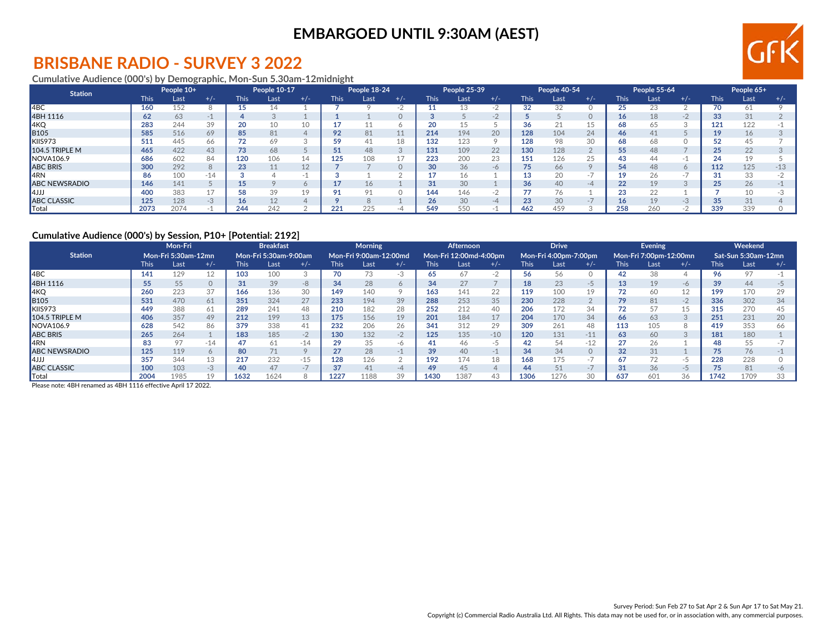## **BRISBANE RADIO - SURVEY 3 2022**

#### **Cumulative Audience (000's) by Demographic, Mon-Sun 5.30am-12midnight**

| <b>Station</b>       |             | People 10+ |       |             | People 10-17 |       |             | People 18-24 |          |             | People 25-39 |           |             | People 40-54 |           |                     | People 55-64 |         |             | People 65+ |       |
|----------------------|-------------|------------|-------|-------------|--------------|-------|-------------|--------------|----------|-------------|--------------|-----------|-------------|--------------|-----------|---------------------|--------------|---------|-------------|------------|-------|
|                      | <b>This</b> | Last       | $+/-$ | <b>This</b> | Last         | $+/-$ | <b>This</b> | Last         | $+/-$    | <b>This</b> | Last         | $+/-$     | <b>This</b> | Last         | $+/-$     | <b>This</b>         | Last         | $+/-$   | <b>This</b> | Last       | $+/-$ |
| 4 <sub>BC</sub>      | 160         | 152        |       | 15          | - 4          |       |             |              | -2       |             | 13           |           | 32          | 32           |           | $\sim$ $\sim$<br>25 |              |         | 70          | 61         |       |
| 4BH 1116             | 62          | 63         |       |             |              |       |             |              |          |             |              | $-1$      |             |              |           | 16                  | 18           | $-2$    | 33          | 31         |       |
| 4KQ                  | 283         | 244        | 39    | 20          | 10           | 10    |             |              |          | 20          | 15           |           | 36          |              |           | 68                  |              | $\sim$  | 121         | 122        |       |
| B105                 | 585         | 516        | 69    | 85          | 81           |       | 92          | 81           | 11       | 214         | 194          | 20        | 128         | 104          | 24        | 46                  |              |         | 19          | 16         |       |
| KIIS973              | 511         | 445        | 66    |             | 69           |       |             |              | 18       | 132         | 123          | $\circ$   | 128         | 98           | 30        | 68                  |              |         |             | 45         |       |
| 104.5 TRIPLE M       | 465         | 422        | 43    | 73          | 68           |       |             | 48           | 3        | 131         | 109          | 22        | 130         | 128          |           | 55                  | 48           |         | 25          | 22         |       |
| NOVA106.9            | 686         | 602        | 84    | 120         | 106          | 14    | 125         | 108          | 17       | 223         | 200          | 23        | 151         | 126          | 25        | 43                  |              | -1.     | 24          | 19         |       |
| <b>ABC BRIS</b>      | 300         | 292        |       | 23          | 11           | 12    |             |              | $\Omega$ | 30          | 36           | $-\theta$ | 75          | 66           |           | 54                  | 48           | $\circ$ | 112         | 125        | $-13$ |
| 4RN                  | 86          | 100        | $-14$ |             |              |       |             |              |          | -47         | 16           |           |             | 20           | $-1$      | 10.                 |              |         |             | 33         |       |
| <b>ABC NEWSRADIO</b> | 146         | 141        |       | 15          |              |       |             |              |          | 31          | 30           |           | 36          | 40           | $-\Delta$ | 22                  | 19           |         | 25          | 26         |       |
| ررر4                 | 400         | 383        |       | 58          | 39           | 19    |             |              |          | 144         | 146          |           |             | 76           |           | 23                  |              |         |             | 10         |       |
| <b>ABC CLASSIC</b>   | 125         | 128        | -3    | 16          | 12           |       |             |              |          | 26          | 30           | $-\Delta$ | 23          | 30           | $-1$      | 16.                 | 19           | $-3$    | 35          | 31         |       |
| Total                | 2073        | 2074       |       | 244         | 242          |       | 221         | 225          | -4       | 549         | 550          |           | 462         | 459          |           | 258                 | 260          | $-2$    | 339         | 339        |       |

### **Cumulative Audience (000's) by Session, P10+ [Potential: 2192]**

|                      |             | Mon-Fri                    |           |             | <b>Breakfast</b>      |       |             | <b>Morning</b>         |          |             | <b>Afternoon</b>       |       |             | <b>Drive</b>          |       |             | <b>Evening</b>         |       |             | Weekend             |       |
|----------------------|-------------|----------------------------|-----------|-------------|-----------------------|-------|-------------|------------------------|----------|-------------|------------------------|-------|-------------|-----------------------|-------|-------------|------------------------|-------|-------------|---------------------|-------|
| <b>Station</b>       |             | <b>Mon-Fri 5:30am-12mn</b> |           |             | Mon-Fri 5:30am-9:00am |       |             | Mon-Fri 9:00am-12:00md |          |             | Mon-Fri 12:00md-4:00pm |       |             | Mon-Fri 4:00pm-7:00pm |       |             | Mon-Fri 7:00pm-12:00mn |       |             | Sat-Sun 5:30am-12mn |       |
|                      | <b>This</b> | Last                       | $+/-$     | <b>This</b> | Last                  | $+/-$ | <b>This</b> | Last                   | $+/-$    | <b>This</b> | Last                   | $+/-$ | <b>This</b> | Last                  | $+/-$ | <b>This</b> | Last                   | $+/-$ | <b>This</b> | Last                | $+/-$ |
| I4BC                 | 141         | 129                        |           | 103         | 100                   |       | 70          | $\sqrt{2}$             | $-3$     | 65          | 67                     | $-2$  | 56          | 56                    |       | 42          | 38                     |       | 96          | 97                  |       |
| 4BH 1116             | 55          | 55                         |           | 31          | 39                    | $-8$  | 34          | 28                     | 6        | 34          | 27                     |       | 18          | 23                    |       | 13          | 19                     | $-6$  | 39          | 44                  |       |
| AKQ                  | 260         | 223                        | 37        | 166         | 136                   | 30    | 149         | 140                    | 9        | 163         | 141                    | 22    | 119         | 100                   |       | 72          | 60                     | 12    | 199         | 170                 | 29    |
| <b>B</b> 105         | 531         | 470                        | 61        | 351         | 324                   | 27    | 233         | 194                    | 39       | 288         | 253                    | 35    | 230         | 228                   |       |             | 81                     | $-2$  | 336         | 302                 | 34    |
| KIIS973              | 449         | 388                        | 61        | 289         | 241                   | 48    | 210         | 182                    | 28       | 252         | 212                    | 40    | 206         | 172                   | 34    | 72          |                        | 15    | 315         | 270                 | 45    |
| $104.5$ TRIPLE M     | 406         | 357                        | 49        | 212         | 199                   | 13    | 175         | 156                    | 19       | 201         | 184                    |       | 204         | 170                   | 34    | 66          | 63                     | 3     | 251         | 231                 | 20    |
| <b>NOVA106.9</b>     | 628         | 542                        | 86        | 379         | 338                   | 41    | 232         | 206                    | 26       | 341         | 312                    | 29    | 309         | 261                   | 48    | 113         | 105                    | 8     | 419         | 353                 | 66    |
| <b>ABC BRIS</b>      | 265         | 264                        |           | 183         | 185                   | $-2$  | 130         | 132                    | $-2$     | 125         | 135                    | $-10$ | 120         | 131                   | $-11$ | 63          | 60                     | 3     | 181         | 180                 |       |
| <b>I</b> 4RN         | 83          | 97                         | -14       |             | 61                    | $-14$ | 29          | 35                     | -6       | -41         | 46                     | -5    | 42          | 54                    | $-12$ | 27          | 26                     |       | 48          | 55                  |       |
| <b>ABC NEWSRADIO</b> | 125         | 119                        | $\bigcap$ | 80          |                       |       | 27          | 28                     | $-1$     | 39          | 40                     | $-1$  | 34          | 34                    |       | 32          | 31                     |       |             | 76                  |       |
| l4JJJ                | 357         | 344                        | ΤQ        | 217         | 232                   | $-15$ | 128         | 126                    | $\Omega$ | 192         | 174                    | 18    | 168         | 175                   |       | 67          |                        | -5    | 228         | 228                 |       |
| <b>ABC CLASSIC</b>   | 100         | 103                        | $-3$      | 40          | 47                    |       | 37          | 41                     | $-4$     | 49          | 45                     |       | 44          | 51                    | $-1$  | 31          | 36                     | -5    | 75          | 81                  | $-6$  |
| Total                | 2004        | 1985                       |           | 1632        | 1624                  |       | 1227        | 188                    | 39       | 1430        | 1387                   | 43    | 1306        | 1276                  | 30    | 637         | 601                    | 36    | 1742        | 1709                | 33    |

Please note: 4BH renamed as 4BH 1116 effective April 17 2022.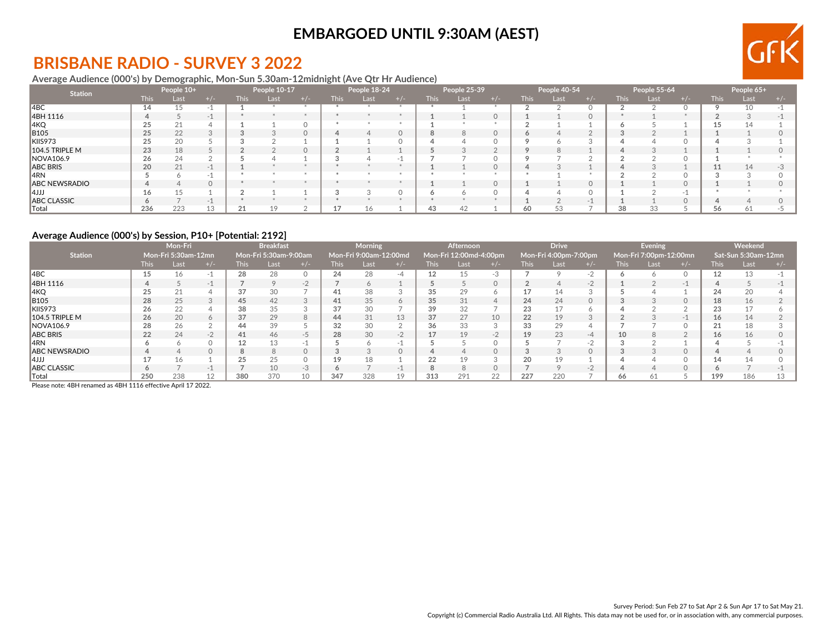## **BRISBANE RADIO - SURVEY 3 2022**

#### **Average Audience (000's) by Demographic, Mon-Sun 5.30am-12midnight (Ave Qtr Hr Audience)**

| <b>Station</b>       |             | People 10+ |       |             | People 10-17 |          |             | People 18-24 |         |             | People 25-39 |          |             | People 40-54 |     |             | People 55-64 |     |             | People 65+ |       |
|----------------------|-------------|------------|-------|-------------|--------------|----------|-------------|--------------|---------|-------------|--------------|----------|-------------|--------------|-----|-------------|--------------|-----|-------------|------------|-------|
|                      | <b>This</b> | Last       | + / - | <b>This</b> | Last         | $+/-$    | <b>This</b> | Last         | $+/-$   | <b>This</b> | Last         | $+/-$    | <b>This</b> | Last         | +7- | <b>This</b> | Last         | +/- | <b>This</b> | Last       | $+/-$ |
| $\overline{ABC}$     | 14          | 15         |       |             |              |          |             |              |         |             |              |          |             |              |     |             |              |     |             | 10         |       |
| 4BH 1116             |             |            | $-1$  |             |              |          |             |              |         |             |              | $\Omega$ |             |              |     |             |              |     |             |            |       |
| 4KQ                  | 25          | 21         |       |             |              | $\cap$   |             |              |         |             |              |          |             |              |     |             |              |     |             |            |       |
| <b>B105</b>          | 25          | 22         |       |             |              | $\Omega$ | $\Delta$    |              | $\circ$ |             | 8            | $\circ$  | o           |              |     |             |              |     |             |            |       |
| KIIS973              | 25          | 20         |       |             |              |          |             |              |         |             |              |          |             |              |     |             |              |     |             |            |       |
| 104.5 TRIPLE M       | 23          | 18         |       |             |              | $\Omega$ |             |              |         |             |              |          |             | 8            |     |             |              |     |             |            |       |
| NOVA106.9            | 26          | 24         |       |             |              |          |             |              |         |             |              |          |             |              |     |             |              |     |             |            |       |
| <b>ABC BRIS</b>      | 20          | 21         | $-1$  |             |              |          |             |              |         |             |              | $\Omega$ |             |              |     |             |              |     |             | 14         |       |
| 4RN                  |             |            |       |             |              |          |             |              |         |             |              |          |             |              |     |             |              |     |             |            |       |
| <b>ABC NEWSRADIO</b> |             |            |       |             |              |          |             |              |         |             |              | $\Omega$ |             |              |     |             |              |     |             |            |       |
| ارر 4                | 16          | 15         |       |             |              |          |             |              |         |             |              |          |             |              |     |             |              | нU  |             |            |       |
| <b>ABC CLASSIC</b>   | $\circ$     |            | $-1$  |             |              |          |             |              |         |             |              |          |             |              |     |             |              |     |             |            |       |
| Total                | 236         | 223        |       | 21          | 10           |          |             |              |         | 43          | 42           |          | 60          | 53           |     | 38          |              |     |             | 61         |       |

### **Average Audience (000's) by Session, P10+ [Potential: 2192]**

|                      |      | Mon-Fri             |       |             | <b>Breakfast</b>      |      |             | <b>Morning</b>         |          |             | <b>Afternoon</b>       |       |             | <b>Drive</b>          |      |             | Evening                |          |       | Weekend             |       |
|----------------------|------|---------------------|-------|-------------|-----------------------|------|-------------|------------------------|----------|-------------|------------------------|-------|-------------|-----------------------|------|-------------|------------------------|----------|-------|---------------------|-------|
| <b>Station</b>       |      | Mon-Fri 5:30am-12mn |       |             | Mon-Fri 5:30am-9:00am |      |             | Mon-Fri 9:00am-12:00md |          |             | Mon-Fri 12:00md-4:00pm |       |             | Mon-Fri 4:00pm-7:00pm |      |             | Mon-Fri 7:00pm-12:00mn |          |       | Sat-Sun 5:30am-12mn |       |
|                      | This | Last                | $+/-$ | <b>This</b> | Last                  |      | <b>This</b> | Last                   | $+/-$    | <b>This</b> | Last                   | $+/-$ | <b>This</b> | Last                  |      | <b>This</b> | Last                   | $+/-$    | This: | Last                | $+/-$ |
| 4BC                  |      |                     |       | 28          | 28                    |      | 24          | 28                     | -4       | 12          | 15                     | $-3$  |             |                       |      |             |                        |          | 12    | 13                  |       |
| 4BH 1116             |      |                     | $-1$  |             | $\circ$               | $-2$ |             |                        |          |             |                        |       |             |                       | $-2$ |             |                        | $-1$     |       |                     |       |
| ∥4KQ                 | 25   | 21                  |       | 37          | 30                    |      | 41          | 38                     |          | 35          | 29                     |       |             | 14                    |      |             |                        |          | 24    | 20                  |       |
| <b>B105</b>          | 28   | 25                  |       | 45          | 42                    |      | 41          | 35                     | 6        | 35          | 31                     |       | 24          | 24                    |      |             |                        | $\Omega$ | 18    | 16                  |       |
| KIIS973              | 26   | 22                  |       | 38          | 35                    |      | 37          | 30                     |          | 39          | 32                     |       | 23          |                       |      |             |                        |          | 23    | 17                  |       |
| 104.5 TRIPLE M       | 26   | 20                  |       | 37          | 29                    |      | 44          | 31                     | 13       | 37          | 27                     | 10    | 22          | 19                    |      |             |                        | $-1$     | 16    | 14                  |       |
| NOVA106.9            | 28   | 26                  |       | 44          | 39                    |      | 32          | 30                     |          | 36          | 33                     |       | 33          | 29                    |      |             |                        |          | 21    | 18                  |       |
| ABC BRIS             | 22   | 24                  | $-2$  | 41          | 46                    | $-5$ | 28          | 30                     | $-2$     |             | 19                     | $-2$  | 19          | 23                    | $-4$ | 10          |                        | $\Omega$ | 16    | 16                  |       |
| 14RN                 |      |                     |       |             | 13                    |      |             |                        |          |             |                        |       |             |                       |      |             |                        |          |       |                     |       |
| <b>ABC NEWSRADIO</b> |      |                     |       |             | $\mathsf{R}$          |      |             |                        | $\Omega$ |             |                        |       |             |                       |      |             |                        | $\Omega$ |       |                     |       |
| 14JJJ                |      |                     |       | 25          | 25                    |      | 19          | 18                     |          | 22          | 19                     |       |             | 19                    |      |             |                        | $\Omega$ | 14    | 14                  |       |
| <b>ABC CLASSIC</b>   |      |                     | $-1$  |             | 10                    | $-3$ |             |                        | $-1$     |             |                        |       |             |                       | $-1$ |             |                        | $\circ$  |       |                     |       |
| $\  \text{Total}$    | 250  | 238                 |       | 380         | 370                   |      | 347         | 328                    | 19       | 313         | 291                    | 22    | 227         | 220                   |      | 66          |                        |          | 199   | 186                 | 13    |

Please note: 4BH renamed as 4BH 1116 effective April 17 2022.